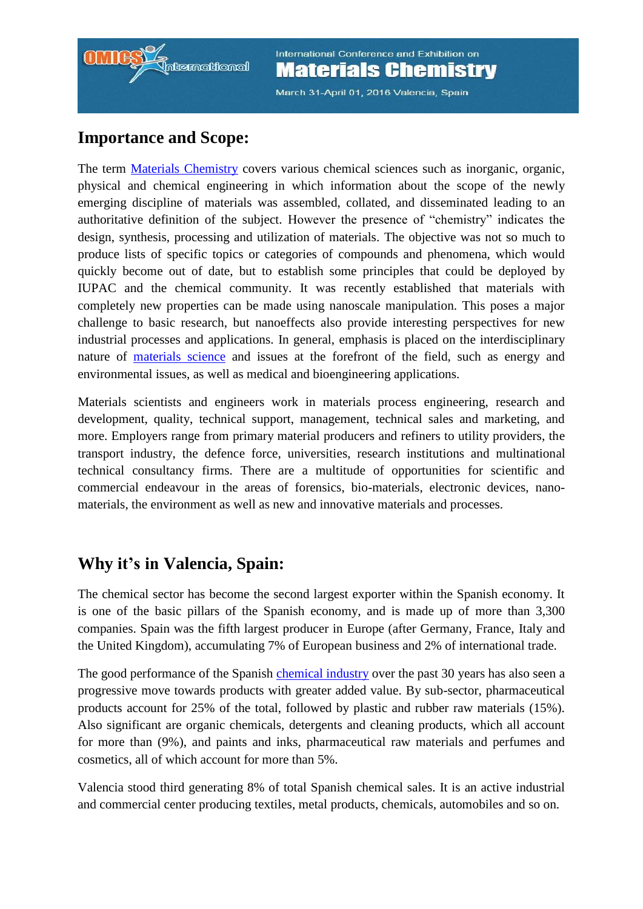

March 31-April 01, 2016 Valencia, Spain

#### **Importance and Scope:**

The term [Materials Chemistry](http://materialschemistry.conferenceseries.com/call-for-abstracts.php) covers various chemical sciences such as inorganic, organic, physical and chemical engineering in which information about the scope of the newly emerging discipline of materials was assembled, collated, and disseminated leading to an authoritative definition of the subject. However the presence of "chemistry" indicates the design, synthesis, processing and utilization of materials. The objective was not so much to produce lists of specific topics or categories of compounds and phenomena, which would quickly become out of date, but to establish some principles that could be deployed by IUPAC and the chemical community. It was recently established that materials with completely new properties can be made using nanoscale manipulation. This poses a major challenge to basic research, but nanoeffects also provide interesting perspectives for new industrial processes and applications. In general, emphasis is placed on the interdisciplinary nature of [materials science](http://materialschemistry.conferenceseries.com/call-for-abstracts.php) and issues at the forefront of the field, such as energy and environmental issues, as well as medical and bioengineering applications.

Materials scientists and engineers work in materials process engineering, research and development, quality, technical support, management, technical sales and marketing, and more. Employers range from primary material producers and refiners to utility providers, the transport industry, the defence force, universities, research institutions and multinational technical consultancy firms. There are a multitude of opportunities for scientific and commercial endeavour in the areas of forensics, bio-materials, electronic devices, nanomaterials, the environment as well as new and innovative materials and processes.

#### **Why it's in Valencia, Spain:**

The chemical sector has become the second largest exporter within the Spanish economy. It is one of the basic pillars of the Spanish economy, and is made up of more than 3,300 companies. Spain was the fifth largest producer in Europe (after Germany, France, Italy and the United Kingdom), accumulating 7% of European business and 2% of international trade.

The good performance of the Spanish [chemical industry](http://materialschemistry.conferenceseries.com/call-for-abstracts.php) over the past 30 years has also seen a progressive move towards products with greater added value. By sub-sector, pharmaceutical products account for 25% of the total, followed by plastic and rubber raw materials (15%). Also significant are organic chemicals, detergents and cleaning products, which all account for more than (9%), and paints and inks, pharmaceutical raw materials and perfumes and cosmetics, all of which account for more than 5%.

Valencia stood third generating 8% of total Spanish chemical sales. It is an active industrial and commercial center producing textiles, metal products, chemicals, automobiles and so on.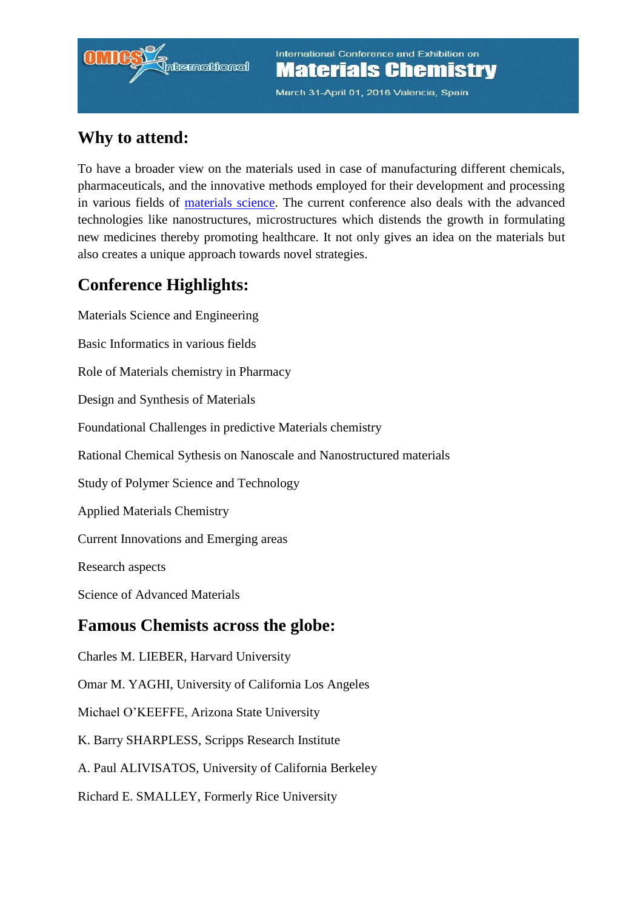# **itemational**

International Conference and Exhibition on **Materials Chemistry** 

March 31-April 01, 2016 Valencia, Spain

## **Why to attend:**

To have a broader view on the materials used in case of manufacturing different chemicals, pharmaceuticals, and the innovative methods employed for their development and processing in various fields of [materials science.](http://materialschemistry.conferenceseries.com/call-for-abstracts.php) The current conference also deals with the advanced technologies like nanostructures, microstructures which distends the growth in formulating new medicines thereby promoting healthcare. It not only gives an idea on the materials but also creates a unique approach towards novel strategies.

## **Conference Highlights:**

Materials Science and Engineering Basic Informatics in various fields Role of Materials chemistry in Pharmacy Design and Synthesis of Materials Foundational Challenges in predictive Materials chemistry Rational Chemical Sythesis on Nanoscale and Nanostructured materials Study of Polymer Science and Technology Applied Materials Chemistry Current Innovations and Emerging areas Research aspects Science of Advanced Materials **Famous Chemists across the globe:** Charles M. LIEBER, Harvard University Omar M. YAGHI, University of California Los Angeles Michael O'KEEFFE, Arizona State University K. Barry SHARPLESS, Scripps Research Institute A. Paul ALIVISATOS, University of California Berkeley Richard E. SMALLEY, Formerly Rice University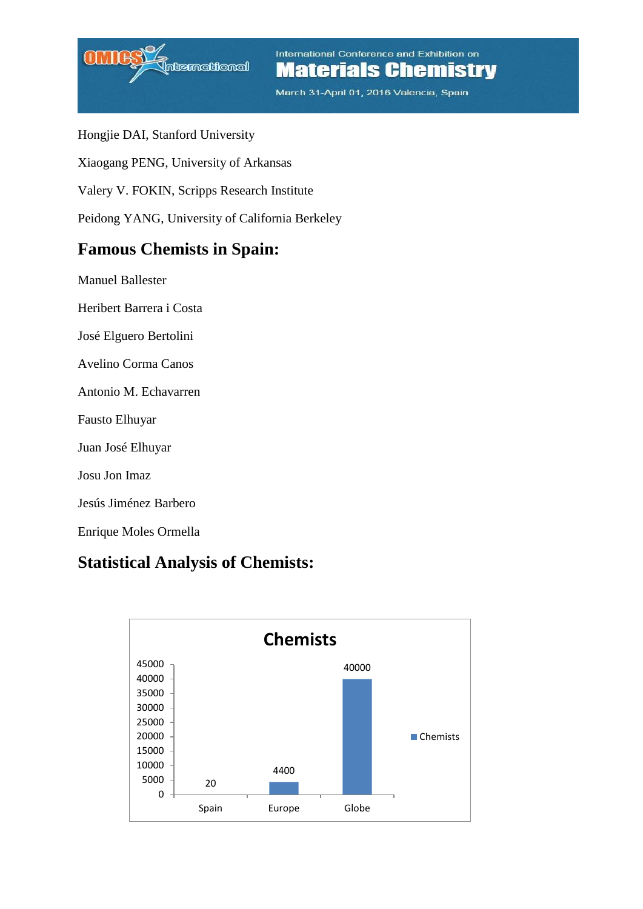

March 31-April 01, 2016 Valencia, Spain

- Hongjie DAI, Stanford University
- Xiaogang PENG, University of Arkansas
- Valery V. FOKIN, Scripps Research Institute
- Peidong YANG, University of California Berkeley

#### **Famous Chemists in Spain:**

- Manuel Ballester
- Heribert Barrera i Costa
- José Elguero Bertolini
- Avelino Corma Canos
- Antonio M. Echavarren
- Fausto Elhuyar
- Juan José Elhuyar
- Josu Jon Imaz
- Jesús Jiménez Barbero
- Enrique Moles Ormella

#### **Statistical Analysis of Chemists:**

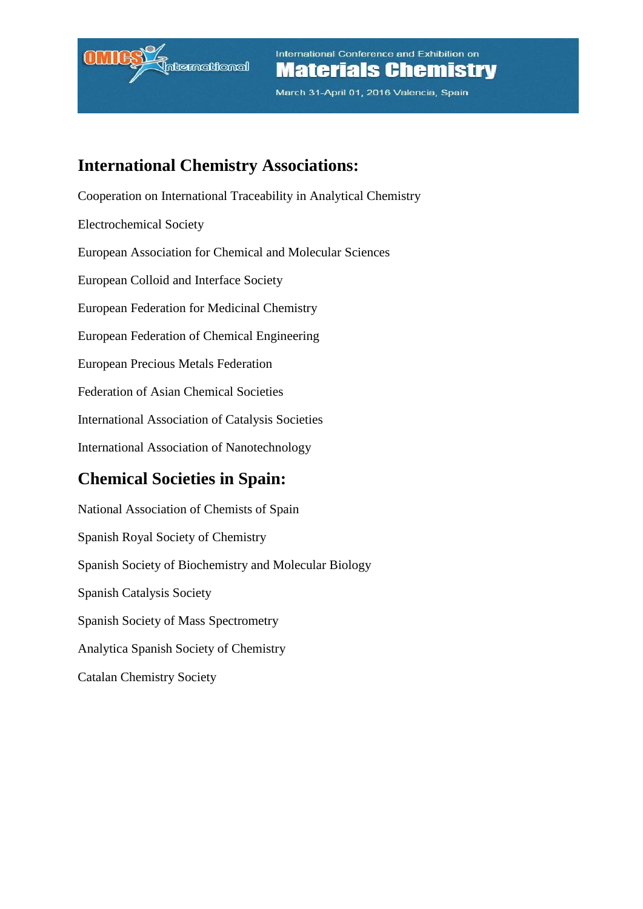

March 31-April 01, 2016 Valencia, Spain

#### **International Chemistry Associations:**

Cooperation on International Traceability in Analytical Chemistry Electrochemical Society European Association for Chemical and Molecular Sciences European Colloid and Interface Society European Federation for Medicinal Chemistry European Federation of Chemical Engineering European Precious Metals Federation Federation of Asian Chemical Societies International Association of Catalysis Societies International Association of Nanotechnology

#### **Chemical Societies in Spain:**

National Association of Chemists of Spain Spanish Royal Society of Chemistry Spanish Society of Biochemistry and Molecular Biology Spanish Catalysis Society Spanish Society of Mass Spectrometry Analytica Spanish Society of Chemistry Catalan Chemistry Society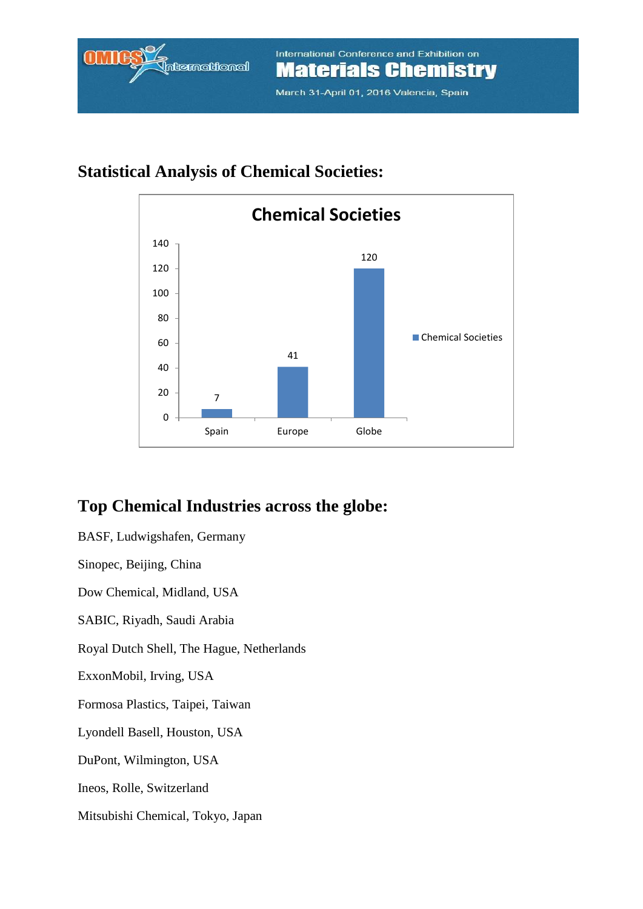## **Statistical Analysis of Chemical Societies:**



## **Top Chemical Industries across the globe:**

BASF, Ludwigshafen, Germany Sinopec, Beijing, China Dow Chemical, Midland, USA SABIC, Riyadh, Saudi Arabia Royal Dutch Shell, The Hague, Netherlands ExxonMobil, Irving, USA Formosa Plastics, Taipei, Taiwan Lyondell Basell, Houston, USA DuPont, Wilmington, USA Ineos, Rolle, Switzerland Mitsubishi Chemical, Tokyo, Japan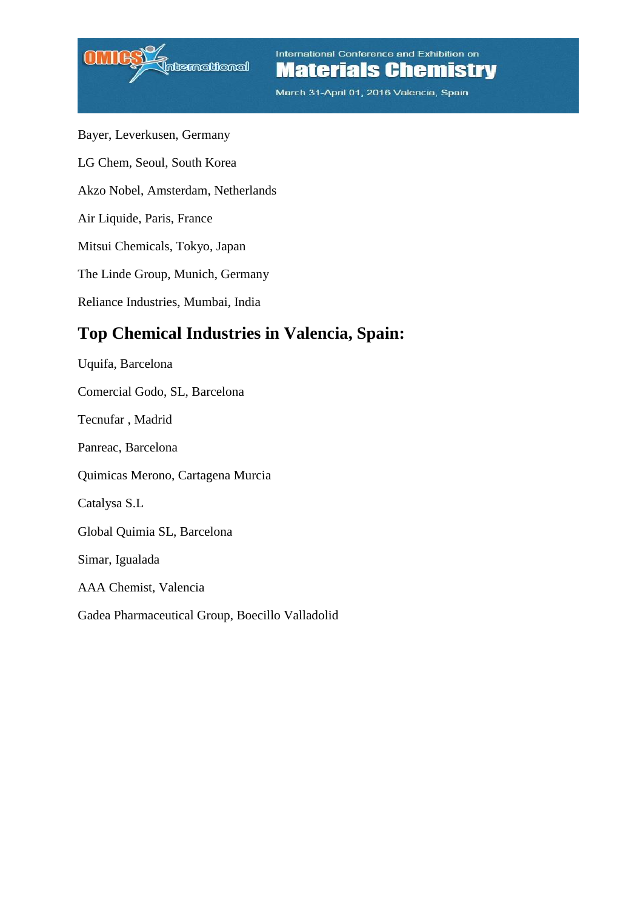

March 31-April 01, 2016 Valencia, Spain

Bayer, Leverkusen, Germany LG Chem, Seoul, South Korea Akzo Nobel, Amsterdam, Netherlands Air Liquide, Paris, France Mitsui Chemicals, Tokyo, Japan The Linde Group, Munich, Germany Reliance Industries, Mumbai, India **Top Chemical Industries in Valencia, Spain:** Uquifa, Barcelona

Comercial Godo, SL, Barcelona Tecnufar , Madrid Panreac, Barcelona Quimicas Merono, Cartagena Murcia Catalysa S.L Global Quimia SL, Barcelona Simar, Igualada AAA Chemist, Valencia Gadea Pharmaceutical Group, Boecillo Valladolid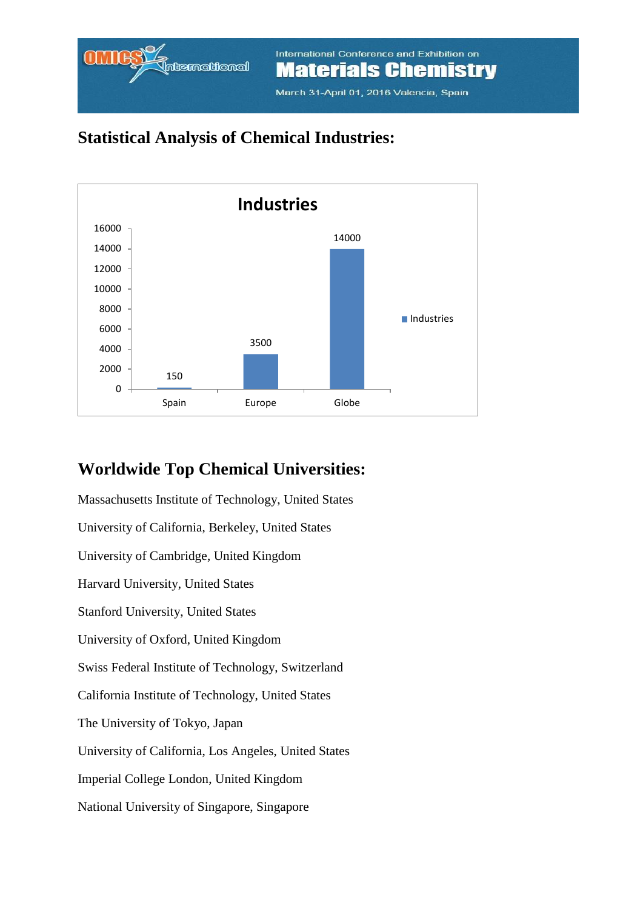

March 31-April 01, 2016 Valencia, Spain

## **Statistical Analysis of Chemical Industries:**



#### **Worldwide Top Chemical Universities:**

Massachusetts Institute of Technology, United States University of California, Berkeley, United States University of Cambridge, United Kingdom Harvard University, United States Stanford University, United States University of Oxford, United Kingdom Swiss Federal Institute of Technology, Switzerland California Institute of Technology, United States The University of Tokyo, Japan University of California, Los Angeles, United States Imperial College London, United Kingdom National University of Singapore, Singapore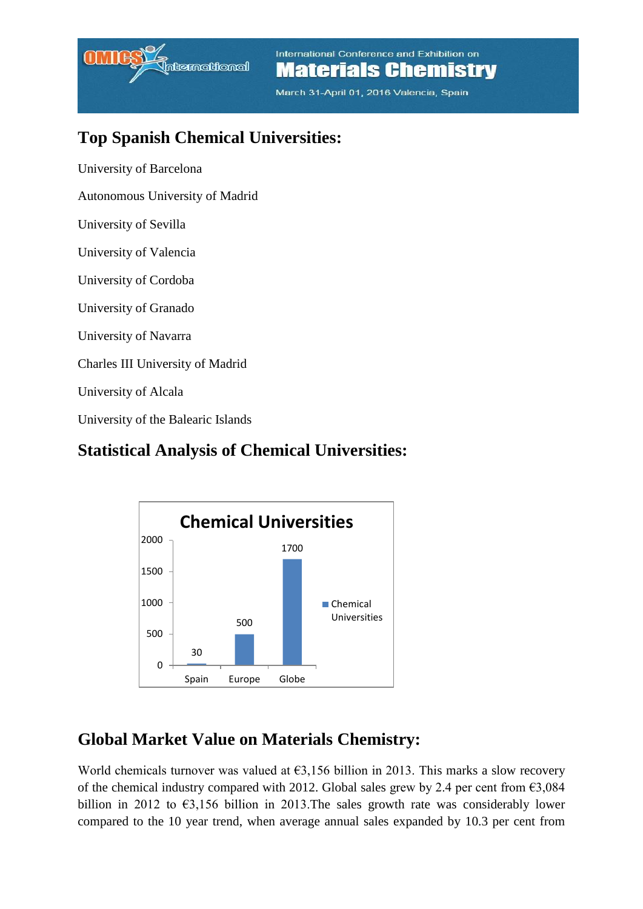

March 31-April 01, 2016 Valencia, Spain

### **Top Spanish Chemical Universities:**

University of Barcelona

Autonomous University of Madrid

University of Sevilla

University of Valencia

University of Cordoba

University of Granado

University of Navarra

Charles III University of Madrid

University of Alcala

University of the Balearic Islands

#### **Statistical Analysis of Chemical Universities:**



#### **Global Market Value on Materials Chemistry:**

World chemicals turnover was valued at  $\epsilon$ 3,156 billion in 2013. This marks a slow recovery of the chemical industry compared with 2012. Global sales grew by 2.4 per cent from  $\epsilon$ 3,084 billion in 2012 to  $\epsilon$ 3,156 billion in 2013. The sales growth rate was considerably lower compared to the 10 year trend, when average annual sales expanded by 10.3 per cent from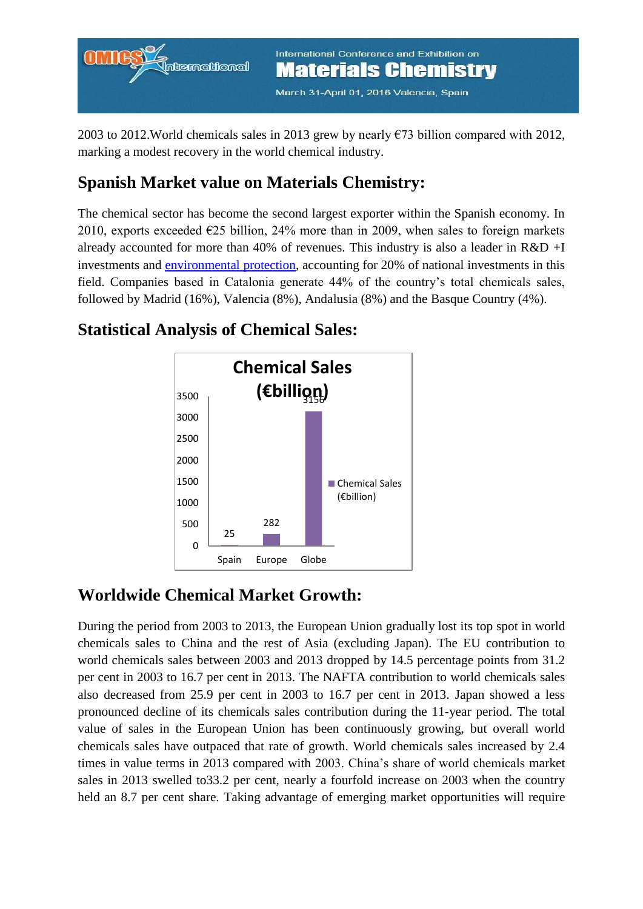March 31-April 01, 2016 Valencia, Spain

2003 to 2012. World chemicals sales in 2013 grew by nearly  $\epsilon$ 73 billion compared with 2012, marking a modest recovery in the world chemical industry.

#### **Spanish Market value on Materials Chemistry:**

The chemical sector has become the second largest exporter within the Spanish economy. In 2010, exports exceeded  $E25$  billion, 24% more than in 2009, when sales to foreign markets already accounted for more than 40% of revenues. This industry is also a leader in R&D +I investments and [environmental protection,](http://materialschemistry.conferenceseries.com/call-for-abstracts.php) accounting for 20% of national investments in this field. Companies based in Catalonia generate 44% of the country's total chemicals sales, followed by Madrid (16%), Valencia (8%), Andalusia (8%) and the Basque Country (4%).

#### **Statistical Analysis of Chemical Sales:**



#### **Worldwide Chemical Market Growth:**

During the period from 2003 to 2013, the European Union gradually lost its top spot in world chemicals sales to China and the rest of Asia (excluding Japan). The EU contribution to world chemicals sales between 2003 and 2013 dropped by 14.5 percentage points from 31.2 per cent in 2003 to 16.7 per cent in 2013. The NAFTA contribution to world chemicals sales also decreased from 25.9 per cent in 2003 to 16.7 per cent in 2013. Japan showed a less pronounced decline of its chemicals sales contribution during the 11-year period. The total value of sales in the European Union has been continuously growing, but overall world chemicals sales have outpaced that rate of growth. World chemicals sales increased by 2.4 times in value terms in 2013 compared with 2003. China's share of world chemicals market sales in 2013 swelled to33.2 per cent, nearly a fourfold increase on 2003 when the country held an 8.7 per cent share. Taking advantage of emerging market opportunities will require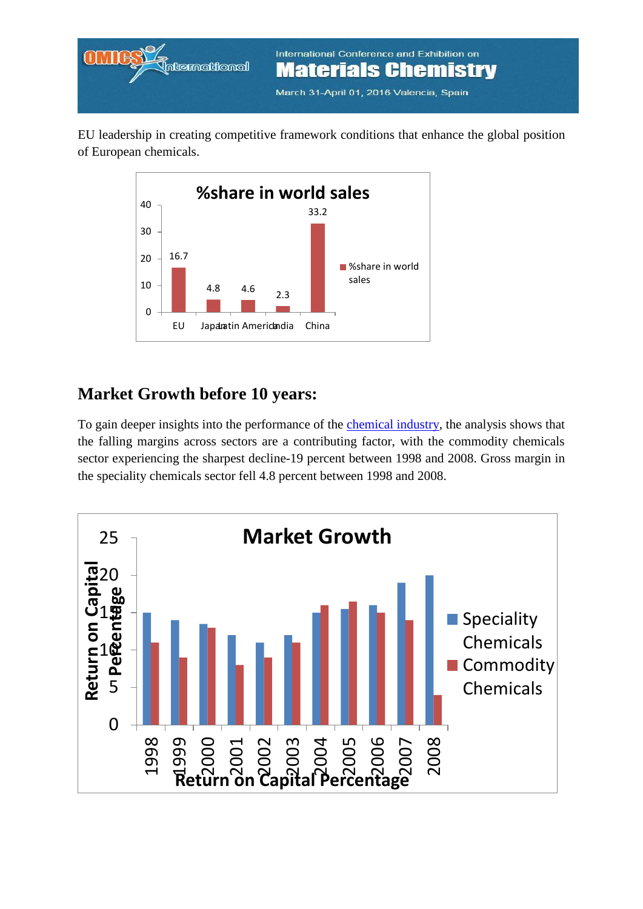

EU leadership in creating competitive framework conditions that enhance the global position of European chemicals.



#### **Market Growth before 10 years:**

To gain deeper insights into the performance of the [chemical industry,](http://materialschemistry.conferenceseries.com/call-for-abstracts.php) the analysis shows that the falling margins across sectors are a contributing factor, with the commodity chemicals sector experiencing the sharpest decline-19 percent between 1998 and 2008. Gross margin in the speciality chemicals sector fell 4.8 percent between 1998 and 2008.